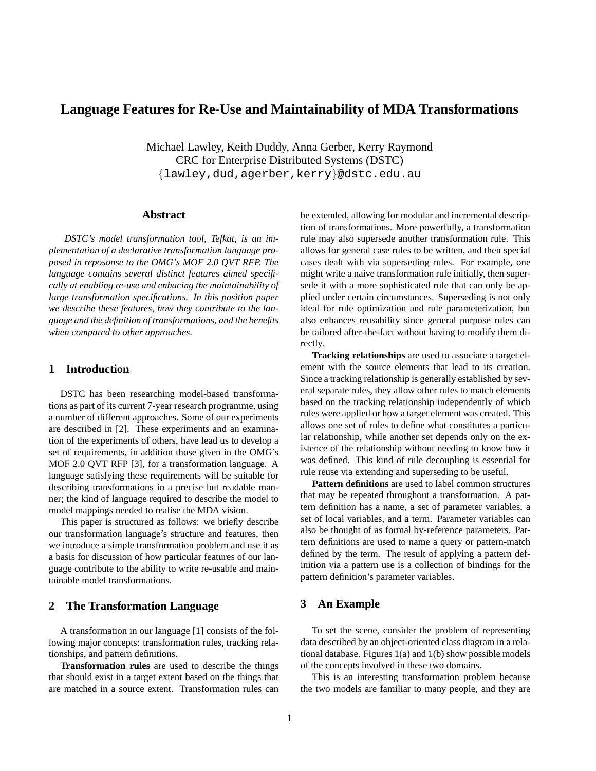# **Language Features for Re-Use and Maintainability of MDA Transformations**

Michael Lawley, Keith Duddy, Anna Gerber, Kerry Raymond CRC for Enterprise Distributed Systems (DSTC) {lawley,dud,agerber,kerry}@dstc.edu.au

## **Abstract**

*DSTC's model transformation tool, Tefkat, is an implementation of a declarative transformation language proposed in reposonse to the OMG's MOF 2.0 QVT RFP. The language contains several distinct features aimed specifically at enabling re-use and enhacing the maintainability of large transformation specifications. In this position paper we describe these features, how they contribute to the language and the definition of transformations, and the benefits when compared to other approaches.*

### **1 Introduction**

DSTC has been researching model-based transformations as part of its current 7-year research programme, using a number of different approaches. Some of our experiments are described in [2]. These experiments and an examination of the experiments of others, have lead us to develop a set of requirements, in addition those given in the OMG's MOF 2.0 QVT RFP [3], for a transformation language. A language satisfying these requirements will be suitable for describing transformations in a precise but readable manner; the kind of language required to describe the model to model mappings needed to realise the MDA vision.

This paper is structured as follows: we briefly describe our transformation language's structure and features, then we introduce a simple transformation problem and use it as a basis for discussion of how particular features of our language contribute to the ability to write re-usable and maintainable model transformations.

## **2 The Transformation Language**

A transformation in our language [1] consists of the following major concepts: transformation rules, tracking relationships, and pattern definitions.

**Transformation rules** are used to describe the things that should exist in a target extent based on the things that are matched in a source extent. Transformation rules can

be extended, allowing for modular and incremental description of transformations. More powerfully, a transformation rule may also supersede another transformation rule. This allows for general case rules to be written, and then special cases dealt with via superseding rules. For example, one might write a naive transformation rule initially, then supersede it with a more sophisticated rule that can only be applied under certain circumstances. Superseding is not only ideal for rule optimization and rule parameterization, but also enhances reusability since general purpose rules can be tailored after-the-fact without having to modify them directly.

**Tracking relationships** are used to associate a target element with the source elements that lead to its creation. Since a tracking relationship is generally established by several separate rules, they allow other rules to match elements based on the tracking relationship independently of which rules were applied or how a target element was created. This allows one set of rules to define what constitutes a particular relationship, while another set depends only on the existence of the relationship without needing to know how it was defined. This kind of rule decoupling is essential for rule reuse via extending and superseding to be useful.

**Pattern definitions** are used to label common structures that may be repeated throughout a transformation. A pattern definition has a name, a set of parameter variables, a set of local variables, and a term. Parameter variables can also be thought of as formal by-reference parameters. Pattern definitions are used to name a query or pattern-match defined by the term. The result of applying a pattern definition via a pattern use is a collection of bindings for the pattern definition's parameter variables.

# **3 An Example**

To set the scene, consider the problem of representing data described by an object-oriented class diagram in a relational database. Figures 1(a) and 1(b) show possible models of the concepts involved in these two domains.

This is an interesting transformation problem because the two models are familiar to many people, and they are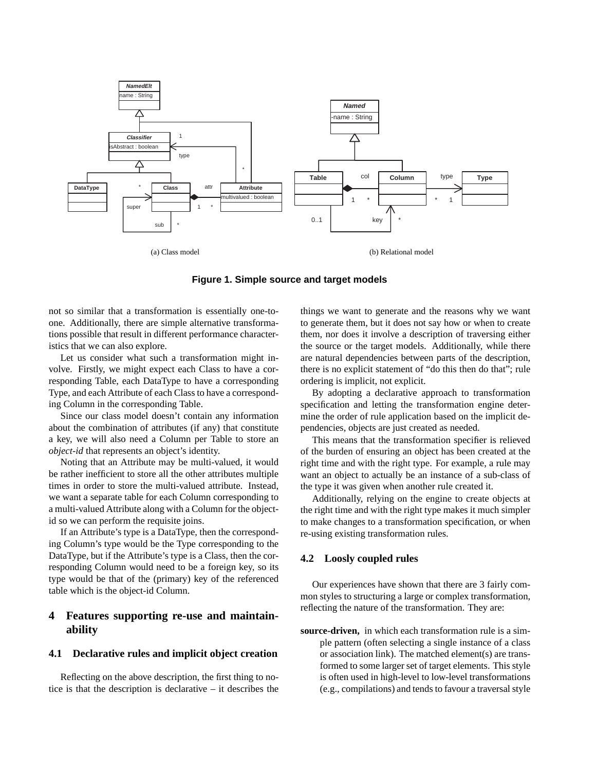

**Figure 1. Simple source and target models**

not so similar that a transformation is essentially one-toone. Additionally, there are simple alternative transformations possible that result in different performance characteristics that we can also explore.

Let us consider what such a transformation might involve. Firstly, we might expect each Class to have a corresponding Table, each DataType to have a corresponding Type, and each Attribute of each Class to have a corresponding Column in the corresponding Table.

Since our class model doesn't contain any information about the combination of attributes (if any) that constitute a key, we will also need a Column per Table to store an *object-id* that represents an object's identity.

Noting that an Attribute may be multi-valued, it would be rather inefficient to store all the other attributes multiple times in order to store the multi-valued attribute. Instead, we want a separate table for each Column corresponding to a multi-valued Attribute along with a Column for the objectid so we can perform the requisite joins.

If an Attribute's type is a DataType, then the corresponding Column's type would be the Type corresponding to the DataType, but if the Attribute's type is a Class, then the corresponding Column would need to be a foreign key, so its type would be that of the (primary) key of the referenced table which is the object-id Column.

# **4 Features supporting re-use and maintainability**

### **4.1 Declarative rules and implicit object creation**

Reflecting on the above description, the first thing to notice is that the description is declarative – it describes the things we want to generate and the reasons why we want to generate them, but it does not say how or when to create them, nor does it involve a description of traversing either the source or the target models. Additionally, while there are natural dependencies between parts of the description, there is no explicit statement of "do this then do that"; rule ordering is implicit, not explicit.

By adopting a declarative approach to transformation specification and letting the transformation engine determine the order of rule application based on the implicit dependencies, objects are just created as needed.

This means that the transformation specifier is relieved of the burden of ensuring an object has been created at the right time and with the right type. For example, a rule may want an object to actually be an instance of a sub-class of the type it was given when another rule created it.

Additionally, relying on the engine to create objects at the right time and with the right type makes it much simpler to make changes to a transformation specification, or when re-using existing transformation rules.

#### **4.2 Loosly coupled rules**

Our experiences have shown that there are 3 fairly common styles to structuring a large or complex transformation, reflecting the nature of the transformation. They are:

**source-driven,** in which each transformation rule is a simple pattern (often selecting a single instance of a class or association link). The matched element(s) are transformed to some larger set of target elements. This style is often used in high-level to low-level transformations (e.g., compilations) and tends to favour a traversal style